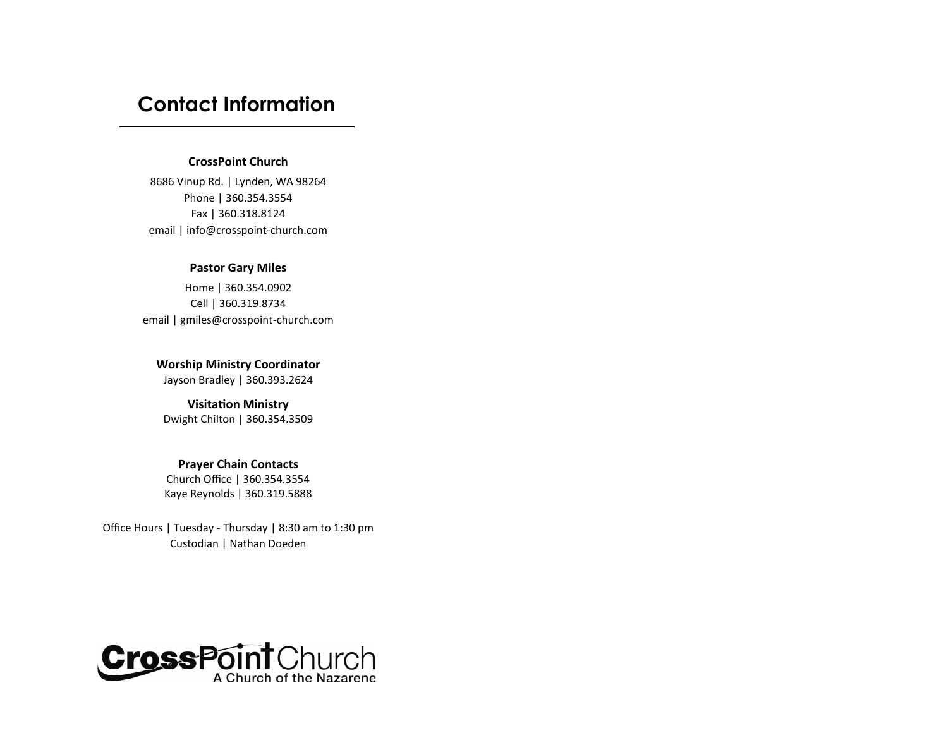# **Contact Information**

# **CrossPoint Church**

8686 Vinup Rd. | Lynden, WA 98264 Phone | 360.354.3554 Fax | 360.318.8124 email | info@crosspoint-church.com

# **Pastor Gary Miles**

Home | 360.354.0902 Cell | 360.319.8734 email | gmiles@crosspoint-church.com

**Worship Ministry Coordinator** Jayson Bradley | 360.393.2624

**Visitation Ministry**  Dwight Chilton | 360.354.3509

# **Prayer Chain Contacts**

Church Office | 360.354.3554 Kaye Reynolds | 360.319.5888

Office Hours | Tuesday - Thursday | 8:30 am to 1:30 pm Custodian | Nathan Doeden